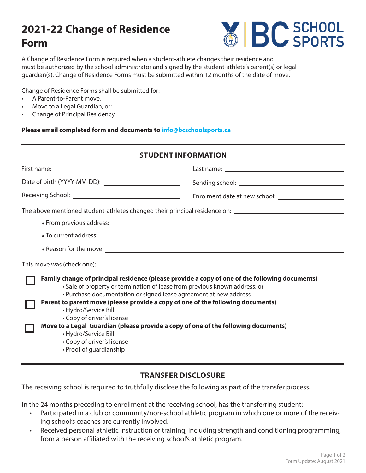# **2021-22 Change of Residence Form**



A Change of Residence Form is required when a student-athlete changes their residence and must be authorized by the school administrator and signed by the student-athlete's parent(s) or legal guardian(s). Change of Residence Forms must be submitted within 12 months of the date of move.

Change of Residence Forms shall be submitted for:

- A Parent-to-Parent move,
- Move to a Legal Guardian, or;
- Change of Principal Residency

**Please email completed form and documents to info@bcschoolsports.ca**

### **STUDENT INFORMATION**

| This move was (check one):                                                                                                                                                                                                                                                                                                                                                                                                                                                                               |  |  |
|----------------------------------------------------------------------------------------------------------------------------------------------------------------------------------------------------------------------------------------------------------------------------------------------------------------------------------------------------------------------------------------------------------------------------------------------------------------------------------------------------------|--|--|
| Family change of principal residence (please provide a copy of one of the following documents)<br>• Sale of property or termination of lease from previous known address; or<br>• Purchase documentation or signed lease agreement at new address<br>Parent to parent move (please provide a copy of one of the following documents)<br>• Hydro/Service Bill<br>• Copy of driver's license<br>Move to a Legal Guardian (please provide a copy of one of the following documents)<br>• Hydro/Service Bill |  |  |

- Copy of driver's license
- Proof of guardianship

### **TRANSFER DISCLOSURE**

The receiving school is required to truthfully disclose the following as part of the transfer process.

In the 24 months preceding to enrollment at the receiving school, has the transferring student:

- Participated in a club or community/non-school athletic program in which one or more of the receiving school's coaches are currently involved.
- Received personal athletic instruction or training, including strength and conditioning programming, from a person affiliated with the receiving school's athletic program.